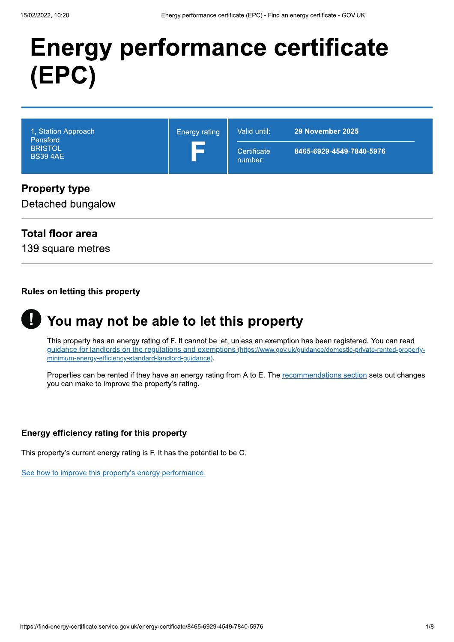# **Energy performance certificate** (EPC)

| 1, Station Approach<br>Pensford<br><b>BRISTOL</b><br><b>BS39 4AE</b> | <b>Energy rating</b> | Valid until:<br>Certificate<br>number: | 29 November 2025<br>8465-6929-4549-7840-5976 |
|----------------------------------------------------------------------|----------------------|----------------------------------------|----------------------------------------------|
| <b>Property type</b><br>Detached bungalow                            |                      |                                        |                                              |

#### **Total floor area**

139 square metres

#### **Rules on letting this property**

# You may not be able to let this property

This property has an energy rating of F. It cannot be let, unless an exemption has been registered. You can read guidance for landlords on the regulations and exemptions (https://www.gov.uk/guidance/domestic-private-rented-propertyminimum-energy-efficiency-standard-landlord-guidance).

Properties can be rented if they have an energy rating from A to E. The recommendations section sets out changes you can make to improve the property's rating.

#### Energy efficiency rating for this property

This property's current energy rating is F. It has the potential to be C.

See how to improve this property's energy performance.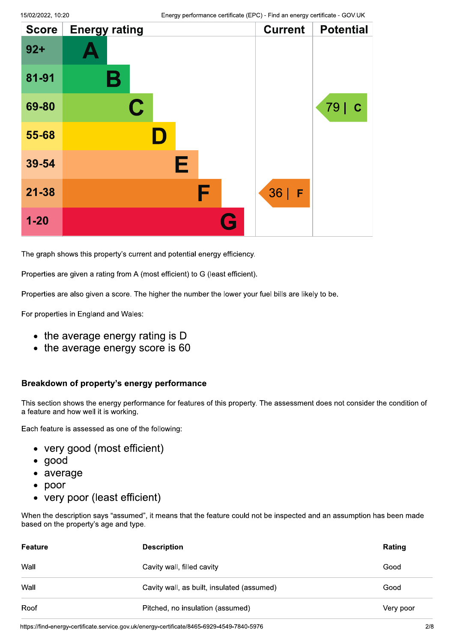| <b>Score</b> | <b>Energy rating</b> |              | <b>Current</b> | <b>Potential</b> |
|--------------|----------------------|--------------|----------------|------------------|
| $92 +$       |                      |              |                |                  |
| 81-91        | Β                    |              |                |                  |
| 69-80        | $\mathbf C$          |              |                | 79   C           |
| 55-68        | II.                  |              |                |                  |
| 39-54        |                      | Е            |                |                  |
| $21 - 38$    |                      | F            | 36 <br>F       |                  |
| $1 - 20$     |                      | $\mathbf{r}$ |                |                  |

The graph shows this property's current and potential energy efficiency.

Properties are given a rating from A (most efficient) to G (least efficient).

Properties are also given a score. The higher the number the lower your fuel bills are likely to be.

For properties in England and Wales:

- the average energy rating is D
- the average energy score is 60

#### Breakdown of property's energy performance

This section shows the energy performance for features of this property. The assessment does not consider the condition of a feature and how well it is working.

Each feature is assessed as one of the following:

- very good (most efficient)
- $\bullet$  good
- average
- $\bullet$  poor
- very poor (least efficient)  $\bullet$

When the description says "assumed", it means that the feature could not be inspected and an assumption has been made based on the property's age and type.

| <b>Feature</b> | <b>Description</b>                         | Rating    |
|----------------|--------------------------------------------|-----------|
| Wall           | Cavity wall, filled cavity                 | Good      |
| Wall           | Cavity wall, as built, insulated (assumed) | Good      |
| Roof           | Pitched, no insulation (assumed)           | Very poor |

https://find-energy-certificate.service.gov.uk/energy-certificate/8465-6929-4549-7840-5976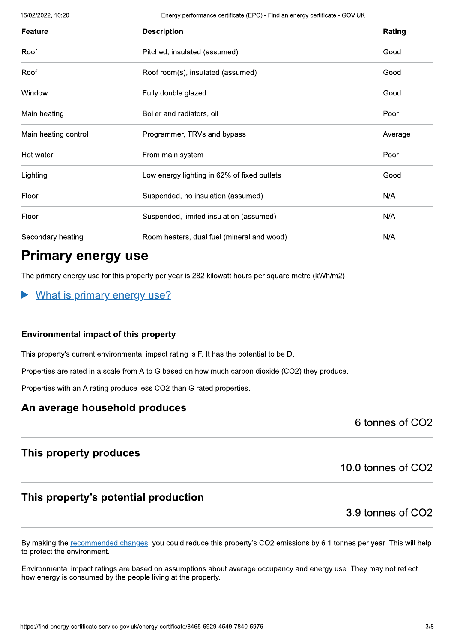15/02/2022, 10:20

Energy performance certificate (EPC) - Find an energy certificate - GOV.UK

| <b>Feature</b>       | <b>Description</b>                          | Rating  |
|----------------------|---------------------------------------------|---------|
| Roof                 | Pitched, insulated (assumed)                | Good    |
| Roof                 | Roof room(s), insulated (assumed)           | Good    |
| Window               | Fully double glazed                         | Good    |
| Main heating         | Boiler and radiators, oil                   | Poor    |
| Main heating control | Programmer, TRVs and bypass                 | Average |
| Hot water            | From main system                            | Poor    |
| Lighting             | Low energy lighting in 62% of fixed outlets | Good    |
| Floor                | Suspended, no insulation (assumed)          | N/A     |
| Floor                | Suspended, limited insulation (assumed)     | N/A     |
| Secondary heating    | Room heaters, dual fuel (mineral and wood)  | N/A     |

# **Primary energy use**

The primary energy use for this property per year is 282 kilowatt hours per square metre (kWh/m2).

#### What is primary energy use?

#### **Environmental impact of this property**

This property's current environmental impact rating is F. It has the potential to be D.

Properties are rated in a scale from A to G based on how much carbon dioxide (CO2) they produce.

Properties with an A rating produce less CO2 than G rated properties.

#### An average household produces

6 tonnes of CO<sub>2</sub>

#### This property produces

#### This property's potential production

#### 3.9 tonnes of CO2

10.0 tonnes of CO2

By making the recommended changes, you could reduce this property's CO2 emissions by 6.1 tonnes per year. This will help to protect the environment.

Environmental impact ratings are based on assumptions about average occupancy and energy use. They may not reflect how energy is consumed by the people living at the property.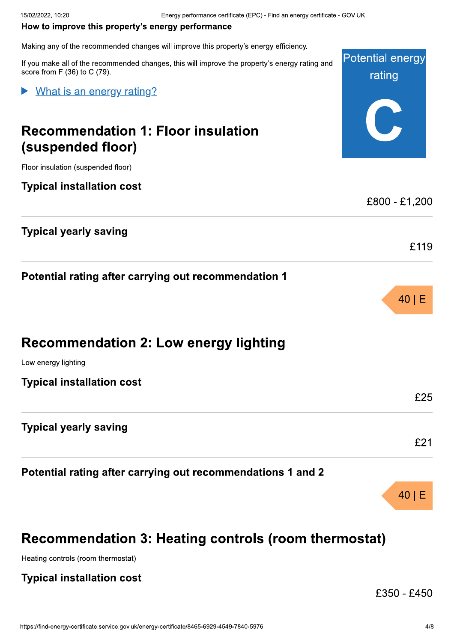|                                           | <b>Potential energy</b><br>rating                                                                                                                                                                                                                                                                                                                       |
|-------------------------------------------|---------------------------------------------------------------------------------------------------------------------------------------------------------------------------------------------------------------------------------------------------------------------------------------------------------------------------------------------------------|
|                                           |                                                                                                                                                                                                                                                                                                                                                         |
|                                           |                                                                                                                                                                                                                                                                                                                                                         |
| <b>Recommendation 1: Floor insulation</b> |                                                                                                                                                                                                                                                                                                                                                         |
|                                           | Energy performance certificate (EPC) - Find an energy certificate - GOV.UK<br>How to improve this property's energy performance<br>Making any of the recommended changes will improve this property's energy efficiency.<br>If you make all of the recommended changes, this will improve the property's energy rating and<br>What is an energy rating? |

# Recommendation 1: Floor insulation (suspended floor)

Floor insulation (suspended floor)

#### **Typical installation cost**

Typical yearly saving

Potential rating after carrying out recommendation 1

| <b>Recommendation 2: Low energy lighting</b> |  |  |  |  |  |
|----------------------------------------------|--|--|--|--|--|
|----------------------------------------------|--|--|--|--|--|

Low enerav liahtina

**Typical installation cost** 

#### Typical yearly saving

Potential rating after carrying out recommendations 1 and 2

# Recommendation 3: Heating controls (room thermostat)

Heating controls (room thermostat)

#### **Typical installation cost**

 $£350 - £450$ 

£800 - £1,200

£119

 $40$ |E

£25

£21

 $40|E$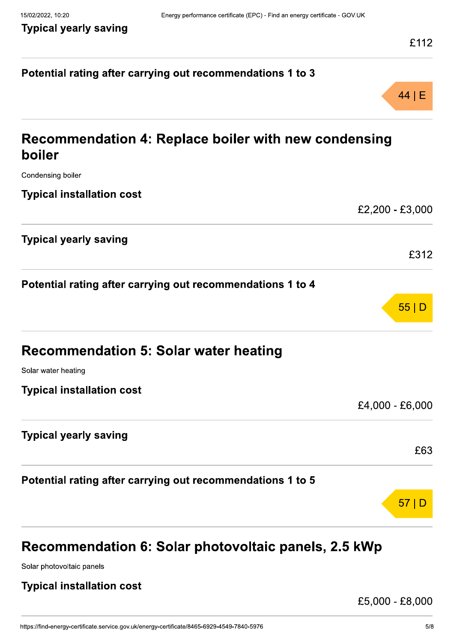|                                                                | t 11Z           |
|----------------------------------------------------------------|-----------------|
| Potential rating after carrying out recommendations 1 to 3     |                 |
|                                                                | $44 \mid E$     |
| Recommendation 4: Replace boiler with new condensing<br>boiler |                 |
| Condensing boiler                                              |                 |
| <b>Typical installation cost</b>                               |                 |
|                                                                | £2,200 - £3,000 |
| <b>Typical yearly saving</b>                                   | £312            |
| Potential rating after carrying out recommendations 1 to 4     |                 |
|                                                                | 55 D            |
| <b>Recommendation 5: Solar water heating</b>                   |                 |
| Solar water heating                                            |                 |
| <b>Typical installation cost</b>                               |                 |
|                                                                | £4,000 - £6,000 |
| <b>Typical yearly saving</b>                                   |                 |
|                                                                | £63             |
| Potential rating after carrying out recommendations 1 to 5     |                 |
|                                                                | $57$            |
|                                                                |                 |

# Recommendation 6: Solar photovoltaic panels, 2.5 kWp

Solar photovoltaic panels

# stallation cost<br>stallation cost<br>ertificate.service.gov.uk/energy-certificate/846 Typical installation cost

 $£5,000 - £8,000$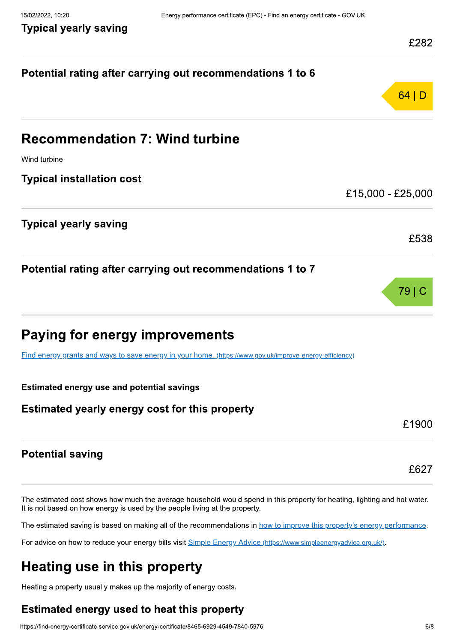**Typical yearly saving** 

| Potential rating after carrying out recommendations 1 to 6                                              |                   |
|---------------------------------------------------------------------------------------------------------|-------------------|
|                                                                                                         | 64 D              |
| <b>Recommendation 7: Wind turbine</b>                                                                   |                   |
| Wind turbine                                                                                            |                   |
| <b>Typical installation cost</b>                                                                        |                   |
|                                                                                                         | £15,000 - £25,000 |
| <b>Typical yearly saving</b>                                                                            |                   |
|                                                                                                         | £538              |
| Potential rating after carrying out recommendations 1 to 7                                              |                   |
|                                                                                                         | 79   C            |
| Paying for energy improvements                                                                          |                   |
| Find energy grants and ways to save energy in your home. (https://www.gov.uk/improve-energy-efficiency) |                   |
| <b>Estimated energy use and potential savings</b>                                                       |                   |
| <b>Estimated yearly energy cost for this property</b>                                                   |                   |
|                                                                                                         | £1900             |
| <b>Potential saving</b>                                                                                 |                   |
|                                                                                                         | £627              |

The estimated cost shows how much the average household would spend in this property for heating, lighting and hot water. It is not based on how energy is used by the people living at the property.

The estimated saving is based on making all of the recommendations in how to improve this property's energy performance.

For advice on how to reduce your energy bills visit Simple Energy Advice (https://www.simpleenergyadvice.org.uk/).

# **Heating use in this property**

Heating a property usually makes up the majority of energy costs.

#### Estimated energy used to heat this property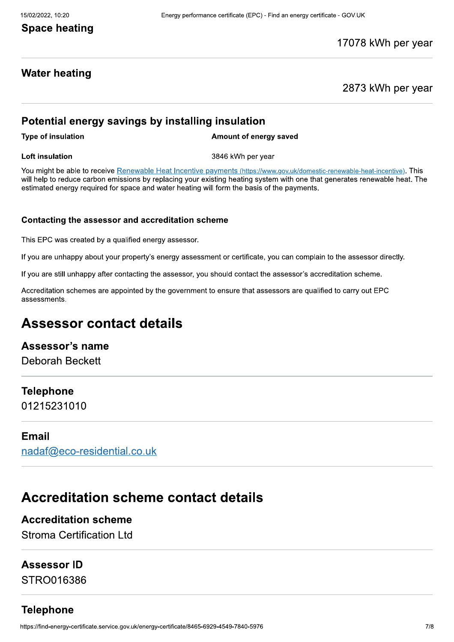#### **Space heating**

#### 17078 kWh per year

#### **Water heating**

2873 kWh per year

#### Potential energy savings by installing insulation

**Type of insulation** 

Amount of energy saved

#### **Loft insulation**

3846 kWh per year

You might be able to receive Renewable Heat Incentive payments (https://www.gov.uk/domestic-renewable-heat-incentive). This will help to reduce carbon emissions by replacing your existing heating system with one that generates renewable heat. The estimated energy required for space and water heating will form the basis of the payments.

#### Contacting the assessor and accreditation scheme

This EPC was created by a qualified energy assessor.

If you are unhappy about your property's energy assessment or certificate, you can complain to the assessor directly.

If you are still unhappy after contacting the assessor, you should contact the assessor's accreditation scheme.

Accreditation schemes are appointed by the government to ensure that assessors are qualified to carry out EPC assessments.

## **Assessor contact details**

#### **Assessor's name**

**Deborah Beckett** 

#### **Telephone**

01215231010

#### **Email**

nadaf@eco-residential.co.uk

### **Accreditation scheme contact details**

#### **Accreditation scheme**

Stroma Certification I td

#### **Assessor ID**

STRO016386

#### **Telephone**